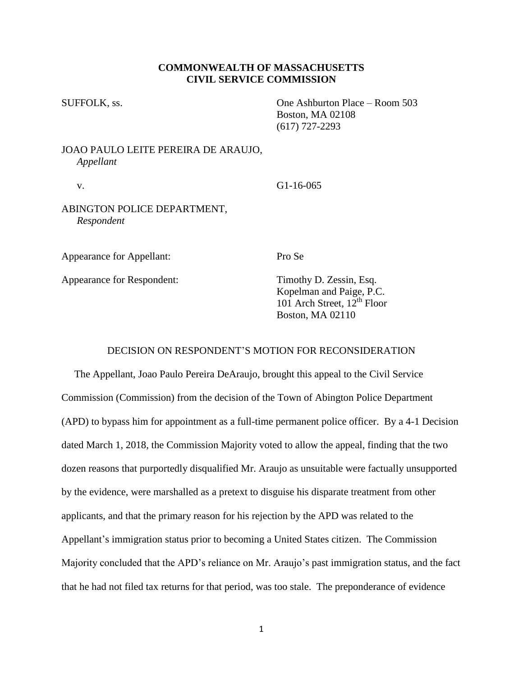## **COMMONWEALTH OF MASSACHUSETTS CIVIL SERVICE COMMISSION**

SUFFOLK, ss. One Ashburton Place – Room 503 Boston, MA 02108 (617) 727-2293

# JOAO PAULO LEITE PEREIRA DE ARAUJO, *Appellant*

v. G1-16-065

## ABINGTON POLICE DEPARTMENT, *Respondent*

Appearance for Appellant: Pro Se

Appearance for Respondent: Timothy D. Zessin, Esq.

Kopelman and Paige, P.C.  $101$  Arch Street,  $12^{th}$  Floor Boston, MA 02110

## DECISION ON RESPONDENT'S MOTION FOR RECONSIDERATION

 The Appellant, Joao Paulo Pereira DeAraujo, brought this appeal to the Civil Service Commission (Commission) from the decision of the Town of Abington Police Department (APD) to bypass him for appointment as a full-time permanent police officer. By a 4-1 Decision dated March 1, 2018, the Commission Majority voted to allow the appeal, finding that the two dozen reasons that purportedly disqualified Mr. Araujo as unsuitable were factually unsupported by the evidence, were marshalled as a pretext to disguise his disparate treatment from other applicants, and that the primary reason for his rejection by the APD was related to the Appellant's immigration status prior to becoming a United States citizen. The Commission Majority concluded that the APD's reliance on Mr. Araujo's past immigration status, and the fact that he had not filed tax returns for that period, was too stale. The preponderance of evidence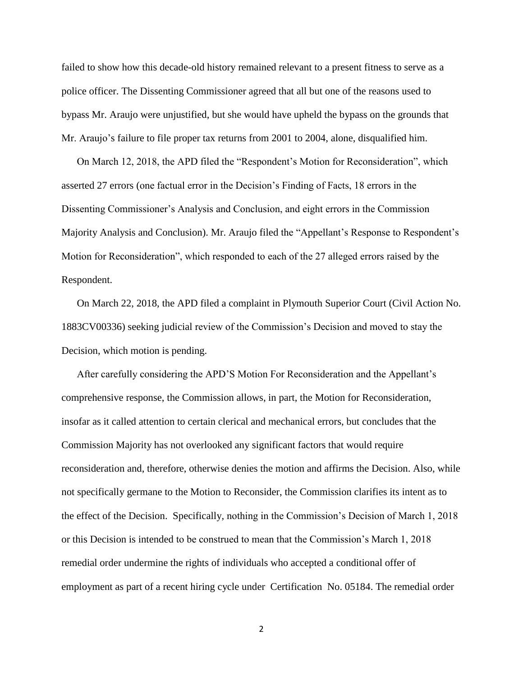failed to show how this decade-old history remained relevant to a present fitness to serve as a police officer. The Dissenting Commissioner agreed that all but one of the reasons used to bypass Mr. Araujo were unjustified, but she would have upheld the bypass on the grounds that Mr. Araujo's failure to file proper tax returns from 2001 to 2004, alone, disqualified him.

On March 12, 2018, the APD filed the "Respondent's Motion for Reconsideration", which asserted 27 errors (one factual error in the Decision's Finding of Facts, 18 errors in the Dissenting Commissioner's Analysis and Conclusion, and eight errors in the Commission Majority Analysis and Conclusion). Mr. Araujo filed the "Appellant's Response to Respondent's Motion for Reconsideration", which responded to each of the 27 alleged errors raised by the Respondent.

On March 22, 2018, the APD filed a complaint in Plymouth Superior Court (Civil Action No. 1883CV00336) seeking judicial review of the Commission's Decision and moved to stay the Decision, which motion is pending.

After carefully considering the APD'S Motion For Reconsideration and the Appellant's comprehensive response, the Commission allows, in part, the Motion for Reconsideration, insofar as it called attention to certain clerical and mechanical errors, but concludes that the Commission Majority has not overlooked any significant factors that would require reconsideration and, therefore, otherwise denies the motion and affirms the Decision. Also, while not specifically germane to the Motion to Reconsider, the Commission clarifies its intent as to the effect of the Decision. Specifically, nothing in the Commission's Decision of March 1, 2018 or this Decision is intended to be construed to mean that the Commission's March 1, 2018 remedial order undermine the rights of individuals who accepted a conditional offer of employment as part of a recent hiring cycle under Certification No. 05184. The remedial order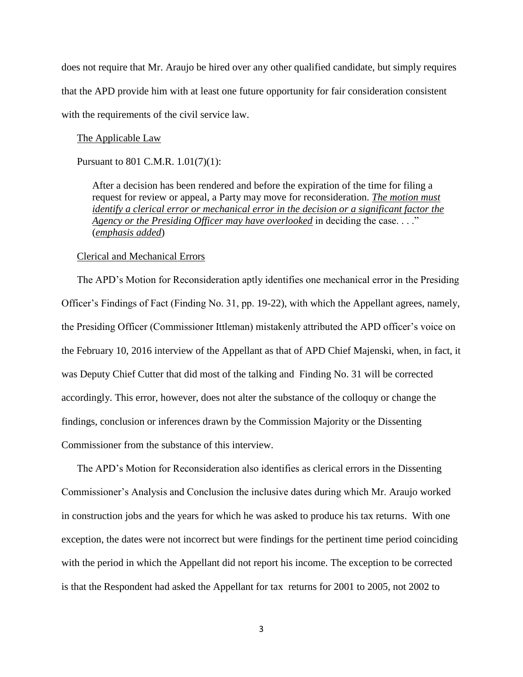does not require that Mr. Araujo be hired over any other qualified candidate, but simply requires that the APD provide him with at least one future opportunity for fair consideration consistent with the requirements of the civil service law.

#### The Applicable Law

Pursuant to 801 C.M.R. 1.01(7)(1):

After a decision has been rendered and before the expiration of the time for filing a request for review or appeal, a Party may move for reconsideration. *The motion must identify a clerical error or mechanical error in the decision or a significant factor the Agency or the Presiding Officer may have overlooked* in deciding the case. . . ." (*emphasis added*)

### Clerical and Mechanical Errors

The APD's Motion for Reconsideration aptly identifies one mechanical error in the Presiding Officer's Findings of Fact (Finding No. 31, pp. 19-22), with which the Appellant agrees, namely, the Presiding Officer (Commissioner Ittleman) mistakenly attributed the APD officer's voice on the February 10, 2016 interview of the Appellant as that of APD Chief Majenski, when, in fact, it was Deputy Chief Cutter that did most of the talking and Finding No. 31 will be corrected accordingly. This error, however, does not alter the substance of the colloquy or change the findings, conclusion or inferences drawn by the Commission Majority or the Dissenting Commissioner from the substance of this interview.

The APD's Motion for Reconsideration also identifies as clerical errors in the Dissenting Commissioner's Analysis and Conclusion the inclusive dates during which Mr. Araujo worked in construction jobs and the years for which he was asked to produce his tax returns. With one exception, the dates were not incorrect but were findings for the pertinent time period coinciding with the period in which the Appellant did not report his income. The exception to be corrected is that the Respondent had asked the Appellant for tax returns for 2001 to 2005, not 2002 to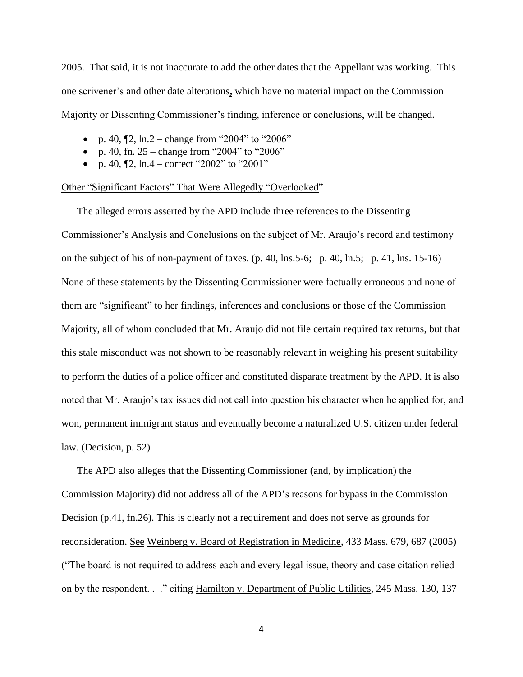2005. That said, it is not inaccurate to add the other dates that the Appellant was working. This one scrivener's and other date alterations**,** which have no material impact on the Commission Majority or Dissenting Commissioner's finding, inference or conclusions, will be changed.

- p. 40,  $\llbracket 2$ , ln.2 change from "2004" to "2006"
- p. 40, fn.  $25 \text{change from "2004" to "2006"}$
- p. 40,  $[2, \ln 4 \text{correct}$  "2002" to "2001"

### Other "Significant Factors" That Were Allegedly "Overlooked"

The alleged errors asserted by the APD include three references to the Dissenting Commissioner's Analysis and Conclusions on the subject of Mr. Araujo's record and testimony on the subject of his of non-payment of taxes. (p. 40, lns.5-6; p. 40, ln.5; p. 41, lns. 15-16) None of these statements by the Dissenting Commissioner were factually erroneous and none of them are "significant" to her findings, inferences and conclusions or those of the Commission Majority, all of whom concluded that Mr. Araujo did not file certain required tax returns, but that this stale misconduct was not shown to be reasonably relevant in weighing his present suitability to perform the duties of a police officer and constituted disparate treatment by the APD. It is also noted that Mr. Araujo's tax issues did not call into question his character when he applied for, and won, permanent immigrant status and eventually become a naturalized U.S. citizen under federal law. (Decision, p. 52)

The APD also alleges that the Dissenting Commissioner (and, by implication) the Commission Majority) did not address all of the APD's reasons for bypass in the Commission Decision (p.41, fn.26). This is clearly not a requirement and does not serve as grounds for reconsideration. See Weinberg v. Board of Registration in Medicine, 433 Mass. 679, 687 (2005) ("The board is not required to address each and every legal issue, theory and case citation relied on by the respondent. . ." citing Hamilton v. Department of Public Utilities, 245 Mass. 130, 137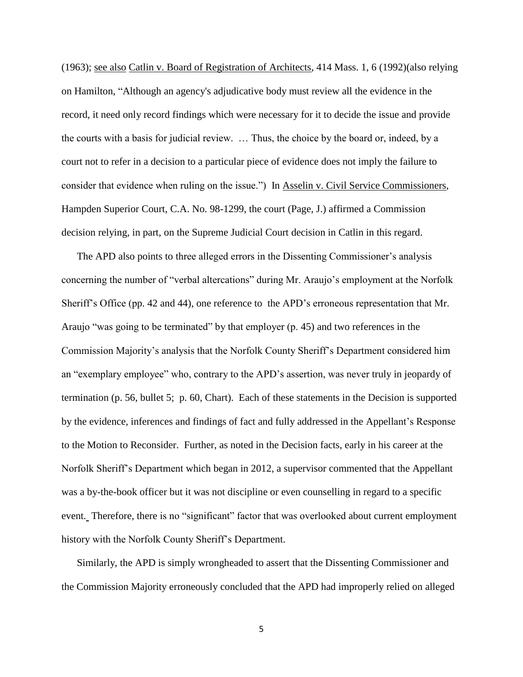(1963); see also Catlin v. Board of Registration of Architects, 414 Mass. 1, 6 (1992)(also relying on Hamilton, "Although an agency's adjudicative body must review all the evidence in the record, it need only record findings which were necessary for it to decide the issue and provide the courts with a basis for judicial review. … Thus, the choice by the board or, indeed, by a court not to refer in a decision to a particular piece of evidence does not imply the failure to consider that evidence when ruling on the issue.") In Asselin v. Civil Service Commissioners, Hampden Superior Court, C.A. No. 98-1299, the court (Page, J.) affirmed a Commission decision relying, in part, on the Supreme Judicial Court decision in Catlin in this regard.

The APD also points to three alleged errors in the Dissenting Commissioner's analysis concerning the number of "verbal altercations" during Mr. Araujo's employment at the Norfolk Sheriff's Office (pp. 42 and 44), one reference to the APD's erroneous representation that Mr. Araujo "was going to be terminated" by that employer (p. 45) and two references in the Commission Majority's analysis that the Norfolk County Sheriff's Department considered him an "exemplary employee" who, contrary to the APD's assertion, was never truly in jeopardy of termination (p. 56, bullet 5; p. 60, Chart). Each of these statements in the Decision is supported by the evidence, inferences and findings of fact and fully addressed in the Appellant's Response to the Motion to Reconsider. Further, as noted in the Decision facts, early in his career at the Norfolk Sheriff's Department which began in 2012, a supervisor commented that the Appellant was a by-the-book officer but it was not discipline or even counselling in regard to a specific event. Therefore, there is no "significant" factor that was overlooked about current employment history with the Norfolk County Sheriff's Department.

Similarly, the APD is simply wrongheaded to assert that the Dissenting Commissioner and the Commission Majority erroneously concluded that the APD had improperly relied on alleged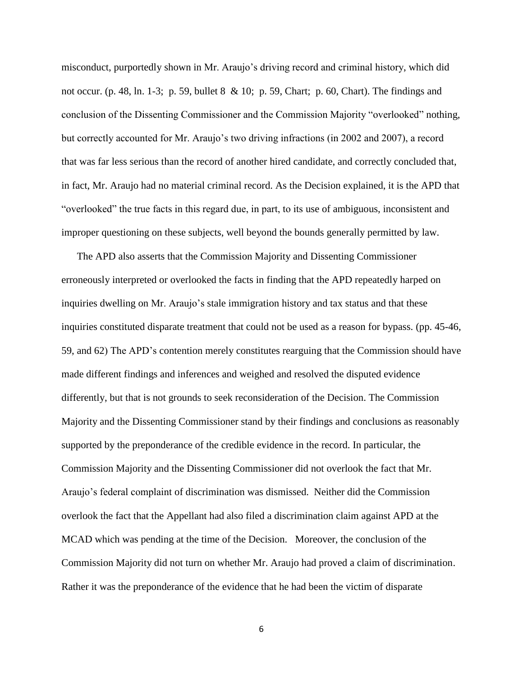misconduct, purportedly shown in Mr. Araujo's driving record and criminal history, which did not occur. (p. 48, ln. 1-3; p. 59, bullet 8 & 10; p. 59, Chart; p. 60, Chart). The findings and conclusion of the Dissenting Commissioner and the Commission Majority "overlooked" nothing, but correctly accounted for Mr. Araujo's two driving infractions (in 2002 and 2007), a record that was far less serious than the record of another hired candidate, and correctly concluded that, in fact, Mr. Araujo had no material criminal record. As the Decision explained, it is the APD that "overlooked" the true facts in this regard due, in part, to its use of ambiguous, inconsistent and improper questioning on these subjects, well beyond the bounds generally permitted by law.

The APD also asserts that the Commission Majority and Dissenting Commissioner erroneously interpreted or overlooked the facts in finding that the APD repeatedly harped on inquiries dwelling on Mr. Araujo's stale immigration history and tax status and that these inquiries constituted disparate treatment that could not be used as a reason for bypass. (pp. 45-46, 59, and 62) The APD's contention merely constitutes rearguing that the Commission should have made different findings and inferences and weighed and resolved the disputed evidence differently, but that is not grounds to seek reconsideration of the Decision. The Commission Majority and the Dissenting Commissioner stand by their findings and conclusions as reasonably supported by the preponderance of the credible evidence in the record. In particular, the Commission Majority and the Dissenting Commissioner did not overlook the fact that Mr. Araujo's federal complaint of discrimination was dismissed. Neither did the Commission overlook the fact that the Appellant had also filed a discrimination claim against APD at the MCAD which was pending at the time of the Decision. Moreover, the conclusion of the Commission Majority did not turn on whether Mr. Araujo had proved a claim of discrimination. Rather it was the preponderance of the evidence that he had been the victim of disparate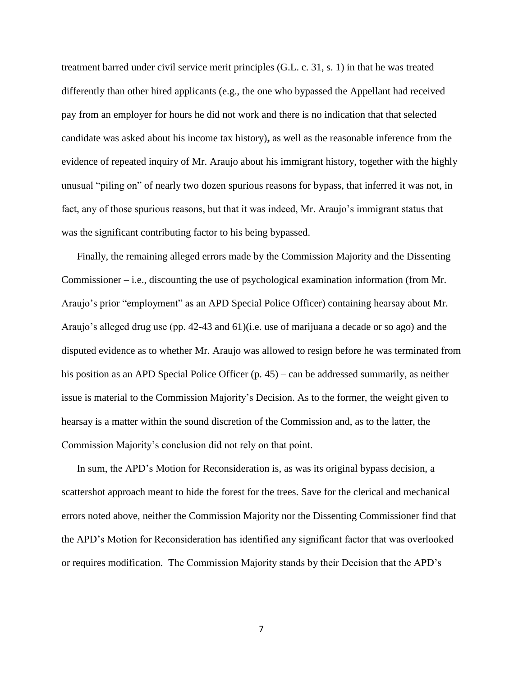treatment barred under civil service merit principles (G.L. c. 31, s. 1) in that he was treated differently than other hired applicants (e.g., the one who bypassed the Appellant had received pay from an employer for hours he did not work and there is no indication that that selected candidate was asked about his income tax history)**,** as well as the reasonable inference from the evidence of repeated inquiry of Mr. Araujo about his immigrant history, together with the highly unusual "piling on" of nearly two dozen spurious reasons for bypass, that inferred it was not, in fact, any of those spurious reasons, but that it was indeed, Mr. Araujo's immigrant status that was the significant contributing factor to his being bypassed.

Finally, the remaining alleged errors made by the Commission Majority and the Dissenting Commissioner – i.e., discounting the use of psychological examination information (from Mr. Araujo's prior "employment" as an APD Special Police Officer) containing hearsay about Mr. Araujo's alleged drug use (pp. 42-43 and 61)(i.e. use of marijuana a decade or so ago) and the disputed evidence as to whether Mr. Araujo was allowed to resign before he was terminated from his position as an APD Special Police Officer (p. 45) – can be addressed summarily, as neither issue is material to the Commission Majority's Decision. As to the former, the weight given to hearsay is a matter within the sound discretion of the Commission and, as to the latter, the Commission Majority's conclusion did not rely on that point.

In sum, the APD's Motion for Reconsideration is, as was its original bypass decision, a scattershot approach meant to hide the forest for the trees. Save for the clerical and mechanical errors noted above, neither the Commission Majority nor the Dissenting Commissioner find that the APD's Motion for Reconsideration has identified any significant factor that was overlooked or requires modification. The Commission Majority stands by their Decision that the APD's